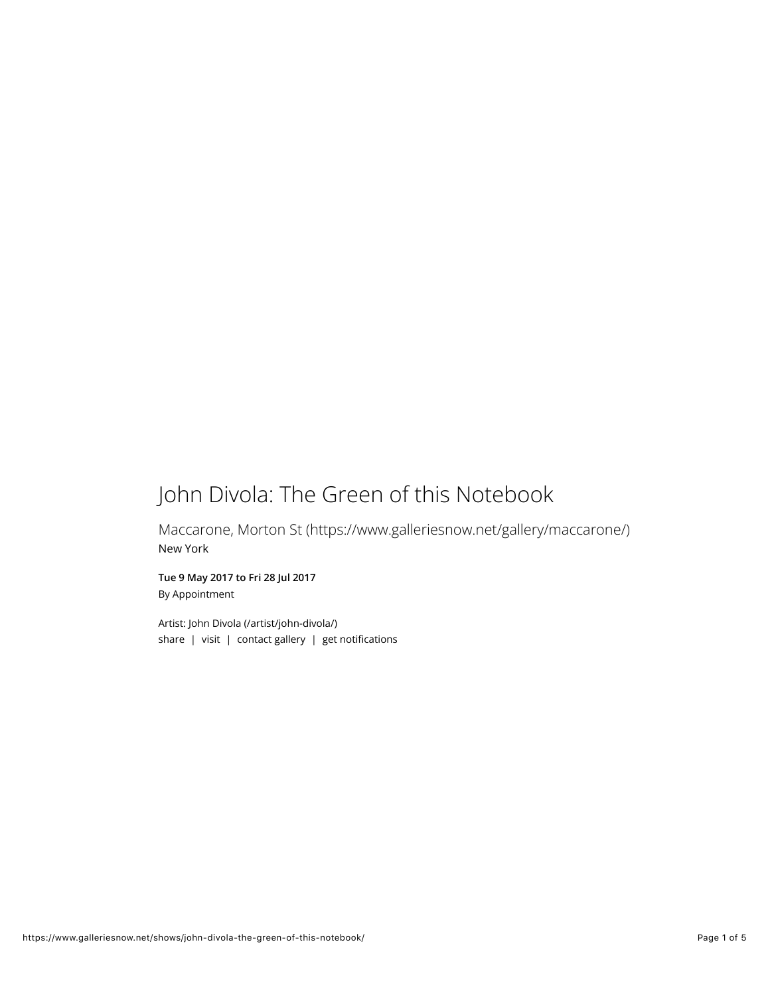## John Divola: The Green of this Notebook

[Maccarone, Morton St \(https://www.galleriesnow.net/gallery/maccarone/\)](https://www.galleriesnow.net/gallery/maccarone/) New York

**Tue 9 May 2017 to Fri 28 Jul 2017** By Appointment

[share](https://www.galleriesnow.net/shows/john-divola-the-green-of-this-notebook/#) | [visit](https://www.galleriesnow.net/shows/john-divola-the-green-of-this-notebook/#) | [contact gallery](https://www.galleriesnow.net/shows/john-divola-the-green-of-this-notebook/#) | get notifications Artist: [John Divola \(/artist/john-divola/\)](https://www.galleriesnow.net/artist/john-divola/)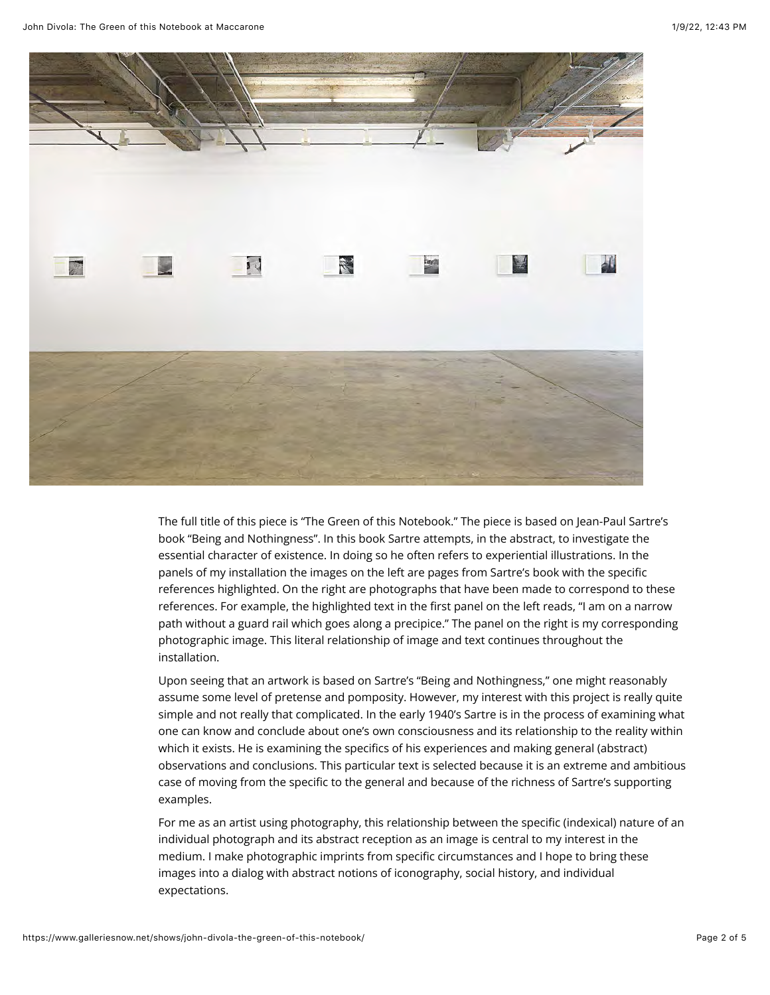

The full title of this piece is "The Green of this Notebook." The piece is based on Jean-Paul Sartre's book "Being and Nothingness". In this book Sartre attempts, in the abstract, to investigate the essential character of existence. In doing so he often refers to experiential illustrations. In the panels of my installation the images on the left are pages from Sartre's book with the specific references highlighted. On the right are photographs that have been made to correspond to these references. For example, the highlighted text in the first panel on the left reads, "I am on a narrow path without a guard rail which goes along a precipice." The panel on the right is my corresponding photographic image. This literal relationship of image and text continues throughout the installation.

Upon seeing that an artwork is based on Sartre's "Being and Nothingness," one might reasonably assume some level of pretense and pomposity. However, my interest with this project is really quite simple and not really that complicated. In the early 1940's Sartre is in the process of examining what one can know and conclude about one's own consciousness and its relationship to the reality within which it exists. He is examining the specifics of his experiences and making general (abstract) observations and conclusions. This particular text is selected because it is an extreme and ambitious case of moving from the specific to the general and because of the richness of Sartre's supporting examples.

For me as an artist using photography, this relationship between the specific (indexical) nature of an individual photograph and its abstract reception as an image is central to my interest in the medium. I make photographic imprints from specific circumstances and I hope to bring these images into a dialog with abstract notions of iconography, social history, and individual expectations.